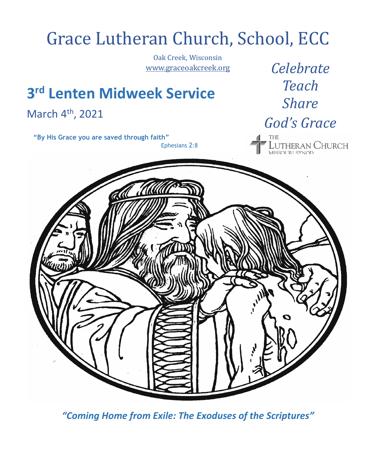# Grace Lutheran Church, School, ECC Oak Creek, Wisconsin *Celebrate* [www.graceoakcreek.org](http://www.graceoakcreek.org/) *Teach* **3 rd Lenten Midweek Service** *Share* March 4<sup>th</sup>, 2021 *God's Grace*  **"By His Grace you are saved through faith"** UTHERAN CHURCH<br>Issoliel synod Ephesians 2:8

*"Coming Home from Exile: The Exoduses of the Scriptures"*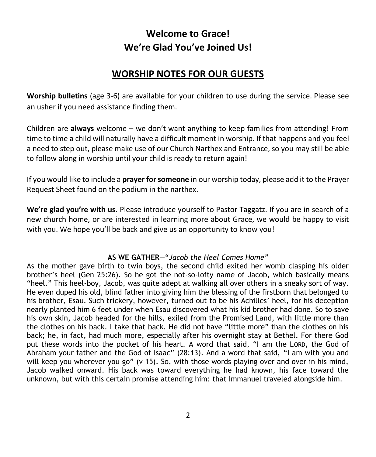## **Welcome to Grace! We're Glad You've Joined Us!**

## **WORSHIP NOTES FOR OUR GUESTS**

**Worship bulletins** (age 3-6) are available for your children to use during the service. Please see an usher if you need assistance finding them.

Children are **always** welcome – we don't want anything to keep families from attending! From time to time a child will naturally have a difficult moment in worship. If that happens and you feel a need to step out, please make use of our Church Narthex and Entrance, so you may still be able to follow along in worship until your child is ready to return again!

If you would like to include a **prayer for someone** in our worship today, please add it to the Prayer Request Sheet found on the podium in the narthex.

**We're glad you're with us.** Please introduce yourself to Pastor Taggatz. If you are in search of a new church home, or are interested in learning more about Grace, we would be happy to visit with you. We hope you'll be back and give us an opportunity to know you!

#### **AS WE GATHER**—"*Jacob the Heel Comes Home"*

As the mother gave birth to twin boys, the second child exited her womb clasping his older brother's heel (Gen 25:26). So he got the not-so-lofty name of Jacob, which basically means "heel." This heel-boy, Jacob, was quite adept at walking all over others in a sneaky sort of way. He even duped his old, blind father into giving him the blessing of the firstborn that belonged to his brother, Esau. Such trickery, however, turned out to be his Achilles' heel, for his deception nearly planted him 6 feet under when Esau discovered what his kid brother had done. So to save his own skin, Jacob headed for the hills, exiled from the Promised Land, with little more than the clothes on his back. I take that back. He did not have "little more" than the clothes on his back; he, in fact, had much more, especially after his overnight stay at Bethel. For there God put these words into the pocket of his heart. A word that said, "I am the LORD, the God of Abraham your father and the God of Isaac" (28:13). And a word that said, "I am with you and will keep you wherever you go" (v 15). So, with those words playing over and over in his mind, Jacob walked onward. His back was toward everything he had known, his face toward the unknown, but with this certain promise attending him: that Immanuel traveled alongside him.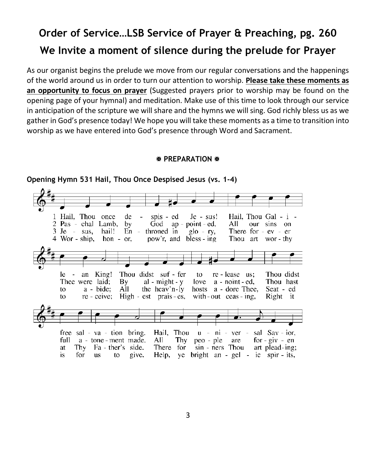## **Order of Service…LSB Service of Prayer & Preaching, pg. 260 We Invite a moment of silence during the prelude for Prayer**

As our organist begins the prelude we move from our regular conversations and the happenings of the world around us in order to turn our attention to worship. **Please take these moments as an opportunity to focus on prayer** (Suggested prayers prior to worship may be found on the opening page of your hymnal) and meditation. Make use of this time to look through our service in anticipation of the scripture we will share and the hymns we will sing. God richly bless us as we gather in God's presence today! We hope you will take these moments as a time to transition into worship as we have entered into God's presence through Word and Sacrament.

#### **EX PREPARATION &**



#### **Opening Hymn 531 Hail, Thou Once Despised Jesus (vs. 1-4)**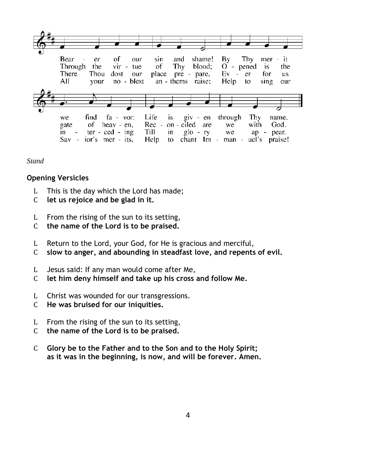

*Stand*

#### **Opening Versicles**

- L This is the day which the Lord has made;
- C **let us rejoice and be glad in it.**
- L From the rising of the sun to its setting,
- C **the name of the Lord is to be praised.**
- L Return to the Lord, your God, for He is gracious and merciful,
- C **slow to anger, and abounding in steadfast love, and repents of evil.**
- L Jesus said: If any man would come after Me,
- C **let him deny himself and take up his cross and follow Me.**
- L Christ was wounded for our transgressions.
- C **He was bruised for our iniquities.**
- L From the rising of the sun to its setting,
- C **the name of the Lord is to be praised.**
- C **Glory be to the Father and to the Son and to the Holy Spirit; as it was in the beginning, is now, and will be forever. Amen.**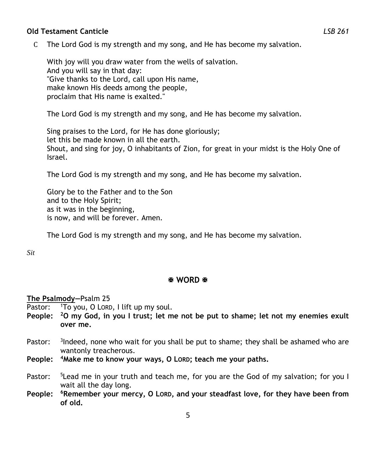#### **Old Testament Canticle** *LSB 261*

C The Lord God is my strength and my song, and He has become my salvation.

With joy will you draw water from the wells of salvation. And you will say in that day: "Give thanks to the Lord, call upon His name, make known His deeds among the people, proclaim that His name is exalted."

The Lord God is my strength and my song, and He has become my salvation.

Sing praises to the Lord, for He has done gloriously; let this be made known in all the earth. Shout, and sing for joy, O inhabitants of Zion, for great in your midst is the Holy One of Israel.

The Lord God is my strength and my song, and He has become my salvation.

Glory be to the Father and to the Son and to the Holy Spirit; as it was in the beginning, is now, and will be forever. Amen.

The Lord God is my strength and my song, and He has become my salvation.

*Sit*

#### **图 WORD 图**

**The Psalmody—**Psalm 25

- Pastor: <sup>1</sup>To you, O LORD, I lift up my soul.
- **People: <sup>2</sup>O my God, in you I trust; let me not be put to shame; let not my enemies exult over me.**
- Pastor: <sup>3</sup>Indeed, none who wait for you shall be put to shame; they shall be ashamed who are wantonly treacherous.
- **People: <sup>4</sup>Make me to know your ways, O LORD; teach me your paths.**
- Pastor: <sup>5</sup>Lead me in your truth and teach me, for you are the God of my salvation; for you I wait all the day long.
- **People: <sup>6</sup>Remember your mercy, O LORD, and your steadfast love, for they have been from of old.**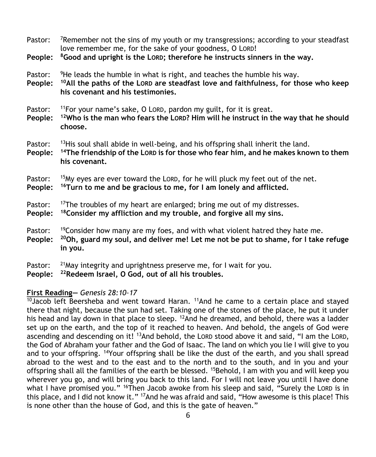Pastor: <sup>7</sup>Remember not the sins of my youth or my transgressions; according to your steadfast love remember me, for the sake of your goodness, O LORD!

**People: <sup>8</sup>Good and upright is the LORD; therefore he instructs sinners in the way.**

Pastor:  $9$ He leads the humble in what is right, and teaches the humble his way.

**People: <sup>10</sup>All the paths of the LORD are steadfast love and faithfulness, for those who keep his covenant and his testimonies.**

Pastor: <sup>11</sup>For your name's sake, O LORD, pardon my guilt, for it is great.

- **People: <sup>12</sup>Who is the man who fears the LORD? Him will he instruct in the way that he should choose.**
- Pastor: <sup>13</sup>His soul shall abide in well-being, and his offspring shall inherit the land.
- **People: <sup>14</sup>The friendship of the LORD is for those who fear him, and he makes known to them his covenant.**

Pastor: <sup>15</sup>My eyes are ever toward the LORD, for he will pluck my feet out of the net.

**People: <sup>16</sup>Turn to me and be gracious to me, for I am lonely and afflicted.**

#### Pastor: <sup>17</sup>The troubles of my heart are enlarged; bring me out of my distresses.

- **People: <sup>18</sup>Consider my affliction and my trouble, and forgive all my sins.**
- Pastor: <sup>19</sup>Consider how many are my foes, and with what violent hatred they hate me.
- **People: <sup>20</sup>Oh, guard my soul, and deliver me! Let me not be put to shame, for I take refuge in you.**
- Pastor:  $^{21}$ May integrity and uprightness preserve me, for I wait for you.
- **People: <sup>22</sup>Redeem Israel, O God, out of all his troubles.**

#### **First Reading—** *Genesis 28:10–17*

 $10$ Jacob left Beersheba and went toward Haran.  $11$ And he came to a certain place and stayed there that night, because the sun had set. Taking one of the stones of the place, he put it under his head and lay down in that place to sleep. <sup>12</sup>And he dreamed, and behold, there was a ladder set up on the earth, and the top of it reached to heaven. And behold, the angels of God were ascending and descending on it! <sup>13</sup>And behold, the LORD stood above it and said, "I am the LORD, the God of Abraham your father and the God of Isaac. The land on which you lie I will give to you and to your offspring. <sup>14</sup>Your offspring shall be like the dust of the earth, and you shall spread abroad to the west and to the east and to the north and to the south, and in you and your offspring shall all the families of the earth be blessed. <sup>15</sup>Behold, I am with you and will keep you wherever you go, and will bring you back to this land. For I will not leave you until I have done what I have promised you." <sup>16</sup>Then Jacob awoke from his sleep and said, "Surely the LORD is in this place, and I did not know it." <sup>17</sup>And he was afraid and said, "How awesome is this place! This is none other than the house of God, and this is the gate of heaven."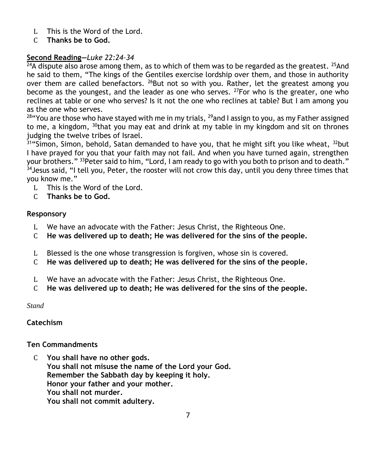- L This is the Word of the Lord.
- C **Thanks be to God.**

#### **Second Reading—***Luke 22:24–34*

 $^{24}$ A dispute also arose among them, as to which of them was to be regarded as the greatest. <sup>25</sup>And he said to them, "The kings of the Gentiles exercise lordship over them, and those in authority over them are called benefactors.  $^{26}$ But not so with you. Rather, let the greatest among you become as the youngest, and the leader as one who serves.  $^{27}$  For who is the greater, one who reclines at table or one who serves? Is it not the one who reclines at table? But I am among you as the one who serves.

<sup>28</sup> You are those who have stayed with me in my trials, <sup>29</sup>and I assign to you, as my Father assigned to me, a kingdom,  $30$ that you may eat and drink at my table in my kingdom and sit on thrones judging the twelve tribes of Israel.

 $31$ "Simon, Simon, behold, Satan demanded to have you, that he might sift you like wheat,  $32$ but I have prayed for you that your faith may not fail. And when you have turned again, strengthen your brothers." <sup>33</sup>Peter said to him, "Lord, I am ready to go with you both to prison and to death."  $34$  Jesus said, "I tell you, Peter, the rooster will not crow this day, until you deny three times that you know me."

- L This is the Word of the Lord.
- C **Thanks be to God.**

#### **Responsory**

- L We have an advocate with the Father: Jesus Christ, the Righteous One.
- C **He was delivered up to death; He was delivered for the sins of the people.**
- L Blessed is the one whose transgression is forgiven, whose sin is covered.
- C **He was delivered up to death; He was delivered for the sins of the people.**
- L We have an advocate with the Father: Jesus Christ, the Righteous One.
- C **He was delivered up to death; He was delivered for the sins of the people.**

*Stand*

#### **Catechism**

#### **Ten Commandments**

C **You shall have no other gods. You shall not misuse the name of the Lord your God. Remember the Sabbath day by keeping it holy. Honor your father and your mother. You shall not murder. You shall not commit adultery.**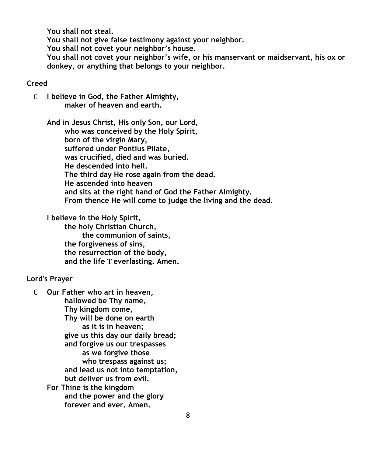**You shall not steal.**

**You shall not give false testimony against your neighbor.**

**You shall not covet your neighbor's house.**

**You shall not covet your neighbor's wife, or his manservant or maidservant, his ox or donkey, or anything that belongs to your neighbor.**

#### **Creed**

C **I believe in God, the Father Almighty, maker of heaven and earth.**

**And in Jesus Christ, His only Son, our Lord, who was conceived by the Holy Spirit, born of the virgin Mary, suffered under Pontius Pilate, was crucified, died and was buried. He descended into hell. The third day He rose again from the dead. He ascended into heaven and sits at the right hand of God the Father Almighty. From thence He will come to judge the living and the dead.**

**I believe in the Holy Spirit, the holy Christian Church, the communion of saints, the forgiveness of sins, the resurrection of the body, and the life T everlasting. Amen.**

#### **Lord's Prayer**

C **Our Father who art in heaven, hallowed be Thy name, Thy kingdom come, Thy will be done on earth as it is in heaven; give us this day our daily bread; and forgive us our trespasses as we forgive those who trespass against us; and lead us not into temptation, but deliver us from evil. For Thine is the kingdom and the power and the glory forever and ever. Amen.**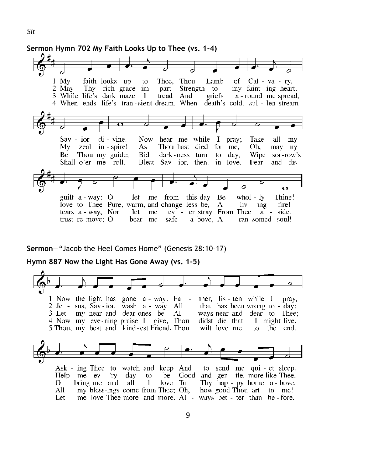$1$  My faith looks up to Thee, Thou Lamb of  $Cal - va - ry$ , 2 May Thy rich grace im - part Strength to my faint - ing heart; 3 While life's dark maze 1 tread And a - round me spread, griefs 4 When ends life's tran-sient dream, When death's cold, sul - len stream  $Sav - ior$ di - vine. Now hear me while I pray; Take all my My zeal in - spire! As Thou hast died for me, Oh. may my Thou my guide; Bid dark-ness turn to day. Wipe sor-row's Be Shall o'er me roll, Blest Sav - ior, then, in love, Fear and disguilt  $a - way$ ; O let me from this day Be  $whol - ly$ Thine! love to Thee Pure, warm, and change-less be, A  $\overline{\mathbf{i}}$  ing fire! tears a - way, Nor let me ev - er stray From Thee a - side. a-bove. A trust  $re$ -move:  $O$ bear me safe ran-somed soul!

#### **Sermon**—*"*Jacob the Heel Comes Home" (Genesis 28:10–17)

**Sermon Hymn 702 My Faith Looks Up to Thee (vs. 1-4)**

#### **Hymn 887 Now the Light Has Gone Away (vs. 1-5)**

1 Now the light has gone a - way; Fa ther,  $\text{lis - ten}$  while I prav. 2 Je - sus, Sav-ior, wash a - way All that has been wrong to - day; 3 Let my near and dear ones be Al ways near and dear to Thee; 4 Now my eve-ning praise I give; Thou didst die that 1 might live. 5 Thou, my best and kind-est Friend, Thou wilt love me to the end. to send me qui - et sleep. Ask - ing Thee to watch and keep And Help me  $ev - Yv$  day be Good and gen - tle, more like Thee. to О. bring me and all  $\mathbf I$  $love$  To Thy hap - py home a - bove. my bless-ings come from Thee; Oh, All how good Thou art to me! Let me love Thee more and more, Al - ways bet - ter than be - fore.

9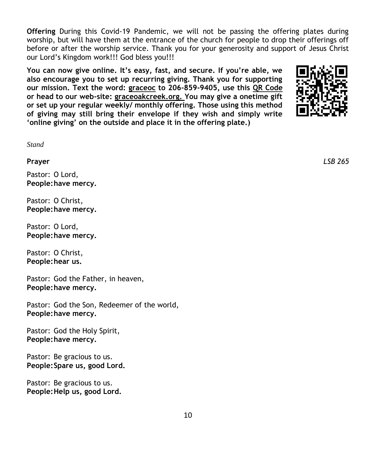**Offering** During this Covid-19 Pandemic, we will not be passing the offering plates during worship, but will have them at the entrance of the church for people to drop their offerings off before or after the worship service. Thank you for your generosity and support of Jesus Christ our Lord's Kingdom work!!! God bless you!!!

**You can now give online. It's easy, fast, and secure. If you're able, we also encourage you to set up recurring giving. Thank you for supporting our mission. Text the word: graceoc to 206-859-9405, use this QR Code or head to our web-site: graceoakcreek.org. You may give a onetime gift or set up your regular weekly/ monthly offering. Those using this method of giving may still bring their envelope if they wish and simply write 'online giving' on the outside and place it in the offering plate.)**



*Stand*

Pastor: O Lord, **People:have mercy.**

Pastor: O Christ, **People:have mercy.**

Pastor: O Lord, **People:have mercy.**

Pastor: O Christ, **People:hear us.**

Pastor: God the Father, in heaven, **People:have mercy.**

Pastor: God the Son, Redeemer of the world, **People:have mercy.**

Pastor: God the Holy Spirit, **People:have mercy.**

Pastor: Be gracious to us. **People:Spare us, good Lord.**

Pastor: Be gracious to us. **People:Help us, good Lord.**

**Prayer** *LSB 265*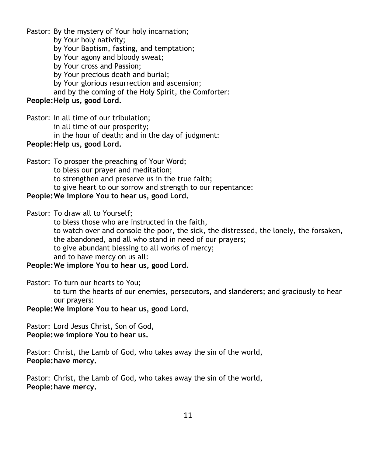Pastor: By the mystery of Your holy incarnation; by Your holy nativity; by Your Baptism, fasting, and temptation; by Your agony and bloody sweat; by Your cross and Passion; by Your precious death and burial; by Your glorious resurrection and ascension; and by the coming of the Holy Spirit, the Comforter: **People:Help us, good Lord.**

Pastor: In all time of our tribulation; in all time of our prosperity; in the hour of death; and in the day of judgment: **People:Help us, good Lord.**

Pastor: To prosper the preaching of Your Word;

to bless our prayer and meditation;

to strengthen and preserve us in the true faith;

to give heart to our sorrow and strength to our repentance:

#### **People:We implore You to hear us, good Lord.**

Pastor: To draw all to Yourself;

to bless those who are instructed in the faith,

to watch over and console the poor, the sick, the distressed, the lonely, the forsaken, the abandoned, and all who stand in need of our prayers;

to give abundant blessing to all works of mercy;

and to have mercy on us all:

**People:We implore You to hear us, good Lord.**

Pastor: To turn our hearts to You;

to turn the hearts of our enemies, persecutors, and slanderers; and graciously to hear our prayers:

**People:We implore You to hear us, good Lord.**

Pastor: Lord Jesus Christ, Son of God, **People:we implore You to hear us.**

Pastor: Christ, the Lamb of God, who takes away the sin of the world, **People:have mercy.**

Pastor: Christ, the Lamb of God, who takes away the sin of the world, **People:have mercy.**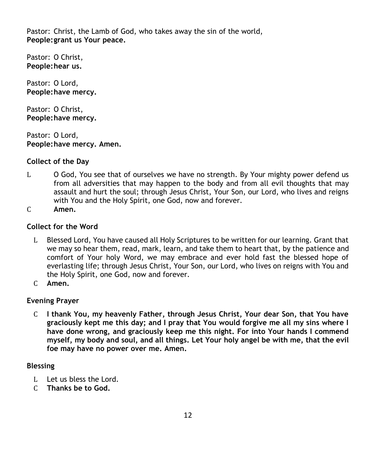Pastor: Christ, the Lamb of God, who takes away the sin of the world, **People:grant us Your peace.**

Pastor: O Christ, **People:hear us.**

Pastor: O Lord, **People:have mercy.**

Pastor: O Christ, **People:have mercy.**

Pastor: O Lord, **People:have mercy. Amen.**

#### **Collect of the Day**

- L O God, You see that of ourselves we have no strength. By Your mighty power defend us from all adversities that may happen to the body and from all evil thoughts that may assault and hurt the soul; through Jesus Christ, Your Son, our Lord, who lives and reigns with You and the Holy Spirit, one God, now and forever.
- C **Amen.**

#### **Collect for the Word**

- L Blessed Lord, You have caused all Holy Scriptures to be written for our learning. Grant that we may so hear them, read, mark, learn, and take them to heart that, by the patience and comfort of Your holy Word, we may embrace and ever hold fast the blessed hope of everlasting life; through Jesus Christ, Your Son, our Lord, who lives on reigns with You and the Holy Spirit, one God, now and forever.
- C **Amen.**

#### **Evening Prayer**

C **I thank You, my heavenly Father, through Jesus Christ, Your dear Son, that You have graciously kept me this day; and I pray that You would forgive me all my sins where I have done wrong, and graciously keep me this night. For into Your hands I commend myself, my body and soul, and all things. Let Your holy angel be with me, that the evil foe may have no power over me. Amen.**

#### **Blessing**

- L Let us bless the Lord.
- C **Thanks be to God.**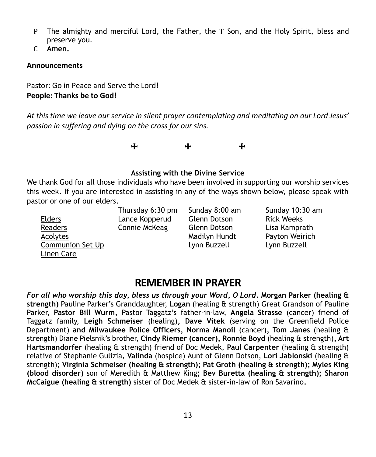- P The almighty and merciful Lord, the Father, the T Son, and the Holy Spirit, bless and preserve you.
- C **Amen.**

#### **Announcements**

Pastor: Go in Peace and Serve the Lord! **People: Thanks be to God!**

*At this time we leave our service in silent prayer contemplating and meditating on our Lord Jesus' passion in suffering and dying on the cross for our sins.* 



#### **Assisting with the Divine Service**

We thank God for all those individuals who have been involved in supporting our worship services this week. If you are interested in assisting in any of the ways shown below, please speak with pastor or one of our elders.

|                  | Thursday 6:30 pm | Sunday 8:00 am      | Sunday 10:30 am   |
|------------------|------------------|---------------------|-------------------|
| <b>Elders</b>    | Lance Kopperud   | <b>Glenn Dotson</b> | <b>Rick Weeks</b> |
| Readers          | Connie McKeag    | <b>Glenn Dotson</b> | Lisa Kamprath     |
| Acolytes         |                  | Madilyn Hundt       | Payton Weirich    |
| Communion Set Up |                  | Lynn Buzzell        | Lynn Buzzell      |
| Linen Care       |                  |                     |                   |

## **REMEMBER IN PRAYER**

*For all who worship this day, bless us through your Word, O Lord.* **Morgan Parker (healing & strength)** Pauline Parker's Granddaughter, **Logan** (healing & strength) Great Grandson of Pauline Parker, **Pastor Bill Wurm,** Pastor Taggatz's father-in-law, **Angela Strasse** (cancer) friend of Taggatz family, **Leigh Schmeiser** (healing)**, Dave Vitek** (serving on the Greenfield Police Department) **and Milwaukee Police Officers, Norma Manoil** (cancer)**, Tom Janes** (healing & strength) Diane Pielsnik's brother, **Cindy Riemer (cancer), Ronnie Boyd** (healing & strength)**, Art Hartsmandorfer** (healing & strength) friend of Doc Medek, **Paul Carpenter** (healing & strength) relative of Stephanie Gulizia, **Valinda** (hospice) Aunt of Glenn Dotson, **Lori Jablonski** (healing & strength)**; Virginia Schmeiser (healing & strength); Pat Groth (healing & strength); Myles King (blood disorder)** son of Meredith & Matthew King**; Bev Buretta (healing & strength); Sharon McCaigue (healing & strength)** sister of Doc Medek & sister-in-law of Ron Savarino**.**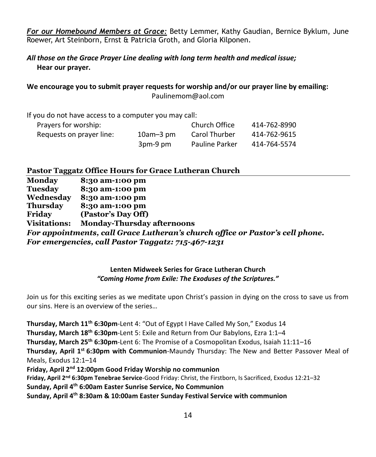*For our Homebound Members at Grace:* Betty Lemmer, Kathy Gaudian, Bernice Byklum, June Roewer, Art Steinborn, Ernst & Patricia Groth, and Gloria Kilponen.

*All those on the Grace Prayer Line dealing with long term health and medical issue;* **Hear our prayer.**

**We encourage you to submit prayer requests for worship and/or our prayer line by emailing:** Paulinemom@aol.com

If you do not have access to a computer you may call:

| Prayers for worship:     |                 | Church Office         | 414-762-8990 |
|--------------------------|-----------------|-----------------------|--------------|
| Requests on prayer line: | $10$ am $-3$ pm | Carol Thurber         | 414-762-9615 |
|                          | 3pm-9 pm        | <b>Pauline Parker</b> | 414-764-5574 |

#### **Pastor Taggatz Office Hours for Grace Lutheran Church**

| <b>Monday</b>       | 8:30 am-1:00 pm                                                               |
|---------------------|-------------------------------------------------------------------------------|
| Tuesday             | 8:30 am-1:00 pm                                                               |
| Wednesday           | 8:30 am-1:00 pm                                                               |
| <b>Thursday</b>     | 8:30 am-1:00 pm                                                               |
| Friday              | (Pastor's Day Off)                                                            |
| <b>Visitations:</b> | <b>Monday-Thursday afternoons</b>                                             |
|                     | For appointments, call Grace Lutheran's church office or Pastor's cell phone. |
|                     | For emergencies, call Pastor Taggatz: 715-467-1231                            |

#### **Lenten Midweek Series for Grace Lutheran Church** *"Coming Home from Exile: The Exoduses of the Scriptures."*

Join us for this exciting series as we meditate upon Christ's passion in dying on the cross to save us from our sins. Here is an overview of the series…

**Thursday, March 11th 6:30pm**-Lent 4: "Out of Egypt I Have Called My Son," Exodus 14 **Thursday, March 18th 6:30pm**-Lent 5: Exile and Return from Our Babylons, Ezra 1:1–4 **Thursday, March 25th 6:30pm**-Lent 6: The Promise of a Cosmopolitan Exodus, Isaiah 11:11–16 **Thursday, April 1st 6:30pm with Communion**-Maundy Thursday: The New and Better Passover Meal of Meals, Exodus 12:1–14 **Friday, April 2nd 12:00pm Good Friday Worship no communion Friday, April 2nd 6:30pm Tenebrae Service**-Good Friday: Christ, the Firstborn, Is Sacrificed, Exodus 12:21–32 **Sunday, April 4th 6:00am Easter Sunrise Service, No Communion Sunday, April 4th 8:30am & 10:00am Easter Sunday Festival Service with communion**